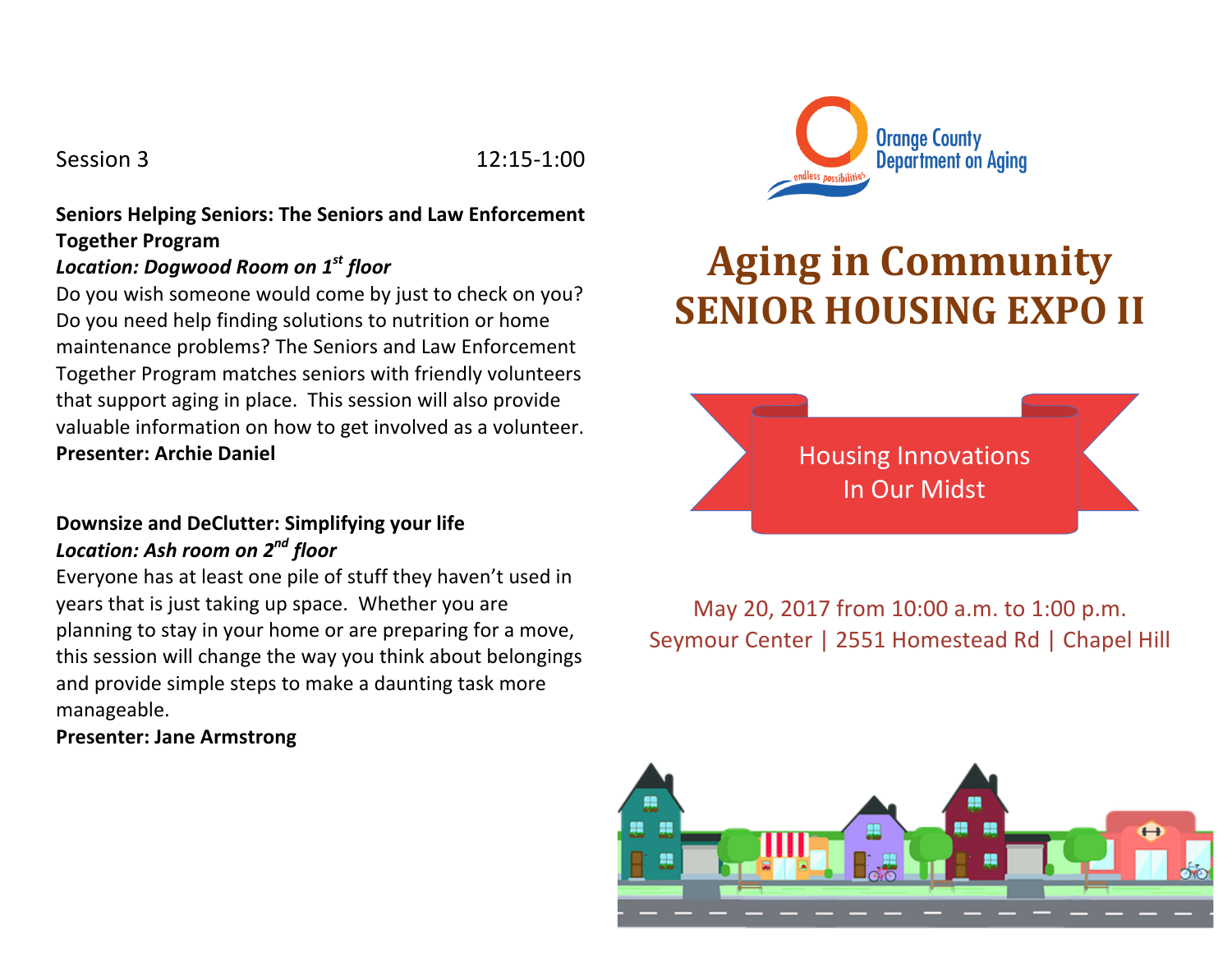Session 3 12:15-1:00

# **Seniors Helping Seniors: The Seniors and Law Enforcement Together Program**

# *Location: Dogwood Room on 1st floor*

Do you wish someone would come by just to check on you? Do you need help finding solutions to nutrition or home maintenance problems? The Seniors and Law Enforcement Together Program matches seniors with friendly volunteers that support aging in place. This session will also provide valuable information on how to get involved as a volunteer. **Presenter: Archie Daniel** 

#### **Downsize and DeClutter: Simplifying your life** *Location: Ash room on 2nd floor*

Everyone has at least one pile of stuff they haven't used in years that is just taking up space. Whether you are planning to stay in your home or are preparing for a move, this session will change the way you think about belongings and provide simple steps to make a daunting task more manageable.

#### **Presenter: Jane Armstrong**



# **Aging in Community SENIOR HOUSING EXPO II**



May 20, 2017 from 10:00 a.m. to 1:00 p.m. Seymour Center | 2551 Homestead Rd | Chapel Hill